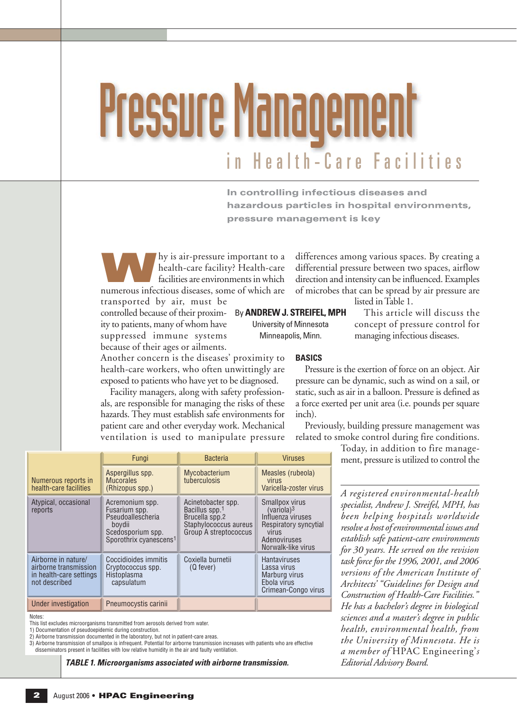# in Health-Care Facilities Pressure Management

**In controlling infectious diseases and hazardous particles in hospital environments, pressure management is key**

**WE ARE A HOT AND A FACT AND A FACT AND A FACT AND A FACT AND A FACT AND A FACT AND A FACT AND A FACT A FACT AND A FACT A FACT AND A FACT A FACT AND A FACT A FACT AND A FACT A FACT AND A FACT AND A FACT AND A FACT AND A FA** health-care facility? Health-care numerous infectious diseases, some of which are

Another concern is the diseases' proximity to health-care workers, who often unwittingly are exposed to patients who have yet to be diagnosed. Facility managers, along with safety professionals, are responsible for managing the risks of these hazards. They must establish safe environments for patient care and other everyday work. Mechanical ventilation is used to manipulate pressure

transported by air, must be controlled because of their proximity to patients, many of whom have suppressed immune systems because of their ages or ailments.

By **ANDREW J. STREIFEL, MPH**

University of Minnesota Minneapolis, Minn.

listed in Table 1. This article will discuss the concept of pressure control for managing infectious diseases.

**BASICS**

Pressure is the exertion of force on an object. Air pressure can be dynamic, such as wind on a sail, or static, such as air in a balloon. Pressure is defined as a force exerted per unit area (i.e. pounds per square inch).

differences among various spaces. By creating a differential pressure between two spaces, airflow direction and intensity can be influenced. Examples of microbes that can be spread by air pressure are

Previously, building pressure management was related to smoke control during fire conditions.

> Today, in addition to fire management, pressure is utilized to control the

*A registered environmental-health specialist, Andrew J. Streifel, MPH, has been helping hospitals worldwide resolve a host of environmental issues and establish safe patient-care environments for 30 years. He served on the revision task force for the 1996, 2001, and 2006 versions of the American Institute of Architects' "Guidelines for Design and Construction of Health-Care Facilities." He has a bachelor's degree in biological sciences and a master's degree in public health, environmental health, from the University of Minnesota. He is a member of* HPAC Engineering'*s Editorial Advisory Board.*

|                                                                                          | Fungi                                                                                                                      | <b>Bacteria</b>                                                                                          | <b>Viruses</b>                                                                                                                        |
|------------------------------------------------------------------------------------------|----------------------------------------------------------------------------------------------------------------------------|----------------------------------------------------------------------------------------------------------|---------------------------------------------------------------------------------------------------------------------------------------|
| Numerous reports in<br>health-care facilities                                            | Aspergillus spp.<br><b>Mucorales</b><br>(Rhizopus spp.)                                                                    | Mycobacterium<br>tuberculosis                                                                            | Measles (rubeola)<br>virus<br>Varicella-zoster virus                                                                                  |
| Atypical, occasional<br>reports                                                          | Acremonium spp.<br>Fusarium spp.<br>Pseudoallescheria<br>boydii<br>Scedosporium spp.<br>Sporothrix cyanescens <sup>1</sup> | Acinetobacter spp.<br>Bacillus spp.1<br>Brucella spp.2<br>Staphylococcus aureus<br>Group A streptococcus | Smallpox virus<br>(variola) <sup>3</sup><br>Influenza viruses<br>Respiratory syncytial<br>virus<br>Adenoviruses<br>Norwalk-like virus |
| Airborne in nature/<br>airborne transmission<br>in health-care settings<br>not described | Coccidioides immitis<br>Cryptococcus spp.<br>Histoplasma<br>capsulatum                                                     | Coxiella burnetii<br>(Q fever)                                                                           | <b>Hantaviruses</b><br>Lassa virus<br>Marburg virus<br>Ebola virus<br>Crimean-Congo virus                                             |
| Under investigation                                                                      | Pneumocystis carinii                                                                                                       |                                                                                                          |                                                                                                                                       |

Notes:

This list excludes microorganisms transmitted from aerosols derived from water.

1) Documentation of pseudoepidemic during construction.

2) Airborne transmission documented in the laboratory, but not in patient-care areas.

3) Airborne transmission of smallpox is infrequent. Potential for airborne transmission increases with patients who are effective<br>disseminators present in facilities with low relative humidity in the air and faulty ventila

*TABLE 1. Microorganisms associated with airborne transmission.*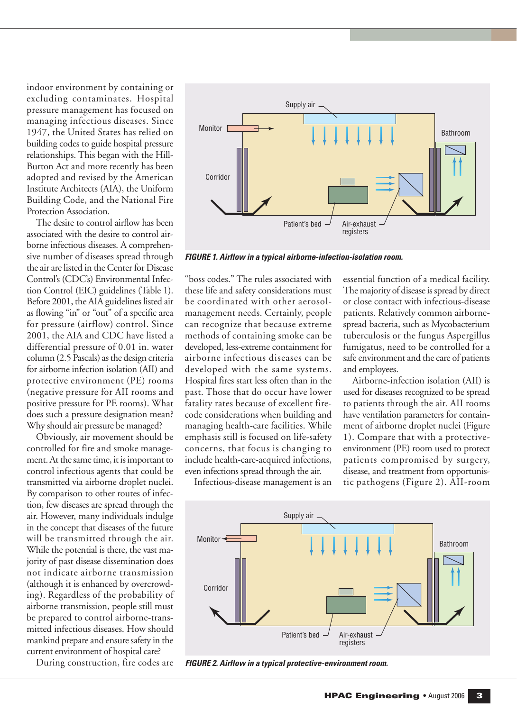indoor environment by containing or excluding contaminates. Hospital pressure management has focused on managing infectious diseases. Since 1947, the United States has relied on building codes to guide hospital pressure relationships. This began with the Hill-Burton Act and more recently has been adopted and revised by the American Institute Architects (AIA), the Uniform Building Code, and the National Fire Protection Association.

The desire to control airflow has been associated with the desire to control airborne infectious diseases. A comprehensive number of diseases spread through the air are listed in the Center for Disease Control's (CDC's) Environmental Infection Control (EIC) guidelines (Table 1). Before 2001, the AIA guidelines listed air as flowing "in" or "out" of a specific area for pressure (airflow) control. Since 2001, the AIA and CDC have listed a differential pressure of 0.01 in. water column (2.5 Pascals) as the design criteria for airborne infection isolation (AII) and protective environment (PE) rooms (negative pressure for AII rooms and positive pressure for PE rooms). What does such a pressure designation mean? Why should air pressure be managed?

Obviously, air movement should be controlled for fire and smoke management. At the same time, it is important to control infectious agents that could be transmitted via airborne droplet nuclei. By comparison to other routes of infection, few diseases are spread through the air. However, many individuals indulge in the concept that diseases of the future will be transmitted through the air. While the potential is there, the vast majority of past disease dissemination does not indicate airborne transmission (although it is enhanced by overcrowding). Regardless of the probability of airborne transmission, people still must be prepared to control airborne-transmitted infectious diseases. How should mankind prepare and ensure safety in the current environment of hospital care?

During construction, fire codes are



*FIGURE 1. Airflow in a typical airborne-infection-isolation room.*

"boss codes." The rules associated with these life and safety considerations must be coordinated with other aerosolmanagement needs. Certainly, people can recognize that because extreme methods of containing smoke can be developed, less-extreme containment for airborne infectious diseases can be developed with the same systems. Hospital fires start less often than in the past. Those that do occur have lower fatality rates because of excellent firecode considerations when building and managing health-care facilities. While emphasis still is focused on life-safety concerns, that focus is changing to include health-care-acquired infections, even infections spread through the air.

Infectious-disease management is an

essential function of a medical facility. The majority of disease is spread by direct or close contact with infectious-disease patients. Relatively common airbornespread bacteria, such as Mycobacterium tuberculosis or the fungus Aspergillus fumigatus, need to be controlled for a safe environment and the care of patients and employees.

Airborne-infection isolation (AII) is used for diseases recognized to be spread to patients through the air. AII rooms have ventilation parameters for containment of airborne droplet nuclei (Figure 1). Compare that with a protectiveenvironment (PE) room used to protect patients compromised by surgery, disease, and treatment from opportunistic pathogens (Figure 2). AII-room



*FIGURE 2. Airflow in a typical protective-environment room.*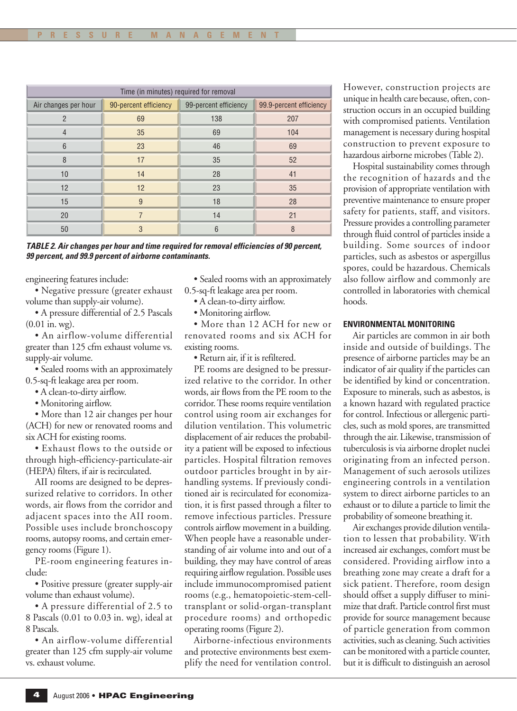| Time (in minutes) required for removal |                       |                       |                         |  |
|----------------------------------------|-----------------------|-----------------------|-------------------------|--|
| Air changes per hour                   | 90-percent efficiency | 99-percent efficiency | 99.9-percent efficiency |  |
| $\overline{2}$                         | 69                    | 138                   | 207                     |  |
| $\overline{4}$                         | 35                    | 69                    | 104                     |  |
| 6                                      | 23                    | 46                    | 69                      |  |
| 8                                      | 17                    | 35                    | 52                      |  |
| 10                                     | 14                    | 28                    | 41                      |  |
| 12                                     | 12                    | 23                    | 35                      |  |
| 15                                     | 9                     | 18                    | 28                      |  |
| 20                                     | 7                     | 14                    | 21                      |  |
| 50                                     | 3                     | 6                     | 8                       |  |

*TABLE 2. Air changes per hour and time required for removal efficiencies of 90 percent, 99 percent, and 99.9 percent of airborne contaminants.*

engineering features include:

• Negative pressure (greater exhaust volume than supply-air volume).

• A pressure differential of 2.5 Pascals (0.01 in. wg).

• An airflow-volume differential greater than 125 cfm exhaust volume vs. supply-air volume.

• Sealed rooms with an approximately 0.5-sq-ft leakage area per room.

- A clean-to-dirty airflow.
- Monitoring airflow.

• More than 12 air changes per hour (ACH) for new or renovated rooms and six ACH for existing rooms.

• Exhaust flows to the outside or through high-efficiency-particulate-air (HEPA) filters, if air is recirculated.

AII rooms are designed to be depressurized relative to corridors. In other words, air flows from the corridor and adjacent spaces into the AII room. Possible uses include bronchoscopy rooms, autopsy rooms, and certain emergency rooms (Figure 1).

PE-room engineering features include:

• Positive pressure (greater supply-air volume than exhaust volume).

• A pressure differential of 2.5 to 8 Pascals (0.01 to 0.03 in. wg), ideal at 8 Pascals.

• An airflow-volume differential greater than 125 cfm supply-air volume vs. exhaust volume.

• Sealed rooms with an approximately 0.5-sq-ft leakage area per room.

- A clean-to-dirty airflow.
- Monitoring airflow.

• More than 12 ACH for new or renovated rooms and six ACH for existing rooms.

• Return air, if it is refiltered.

PE rooms are designed to be pressurized relative to the corridor. In other words, air flows from the PE room to the corridor. These rooms require ventilation control using room air exchanges for dilution ventilation. This volumetric displacement of air reduces the probability a patient will be exposed to infectious particles. Hospital filtration removes outdoor particles brought in by airhandling systems. If previously conditioned air is recirculated for economization, it is first passed through a filter to remove infectious particles. Pressure controls airflow movement in a building. When people have a reasonable understanding of air volume into and out of a building, they may have control of areas requiring airflow regulation. Possible uses include immunocompromised patient rooms (e.g., hematopoietic-stem-celltransplant or solid-organ-transplant procedure rooms) and orthopedic operating rooms (Figure 2).

Airborne-infectious environments and protective environments best exemplify the need for ventilation control.

However, construction projects are unique in health care because, often, construction occurs in an occupied building with compromised patients. Ventilation management is necessary during hospital construction to prevent exposure to hazardous airborne microbes (Table 2).

Hospital sustainability comes through the recognition of hazards and the provision of appropriate ventilation with preventive maintenance to ensure proper safety for patients, staff, and visitors. Pressure provides a controlling parameter through fluid control of particles inside a building. Some sources of indoor particles, such as asbestos or aspergillus spores, could be hazardous. Chemicals also follow airflow and commonly are controlled in laboratories with chemical hoods.

# **ENVIRONMENTAL MONITORING**

Air particles are common in air both inside and outside of buildings. The presence of airborne particles may be an indicator of air quality if the particles can be identified by kind or concentration. Exposure to minerals, such as asbestos, is a known hazard with regulated practice for control. Infectious or allergenic particles, such as mold spores, are transmitted through the air. Likewise, transmission of tuberculosis is via airborne droplet nuclei originating from an infected person. Management of such aerosols utilizes engineering controls in a ventilation system to direct airborne particles to an exhaust or to dilute a particle to limit the probability of someone breathing it.

Air exchanges provide dilution ventilation to lessen that probability. With increased air exchanges, comfort must be considered. Providing airflow into a breathing zone may create a draft for a sick patient. Therefore, room design should offset a supply diffuser to minimize that draft. Particle control first must provide for source management because of particle generation from common activities, such as cleaning. Such activities can be monitored with a particle counter, but it is difficult to distinguish an aerosol